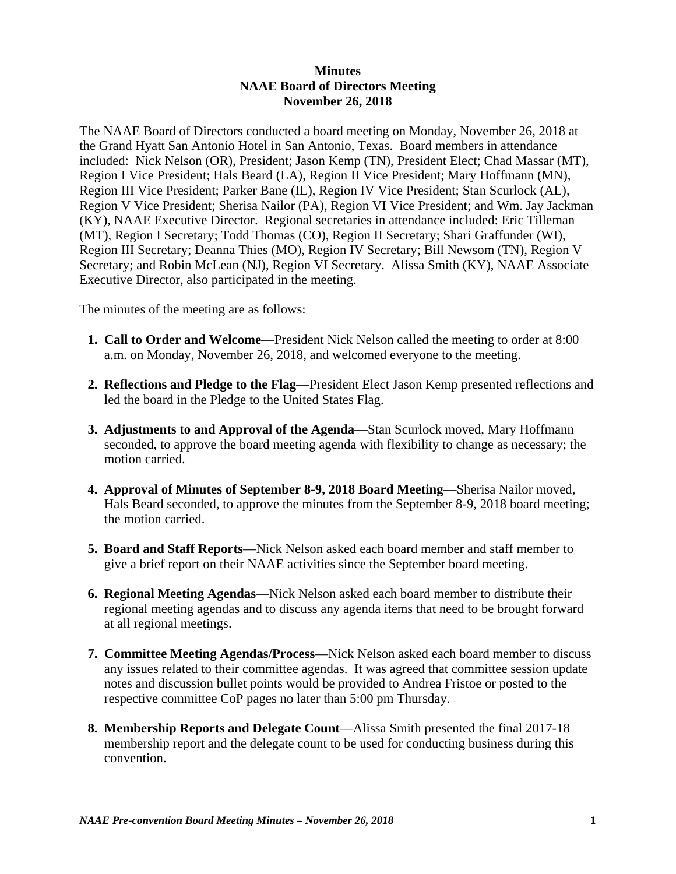## **Minutes NAAE Board of Directors Meeting November 26, 2018**

The NAAE Board of Directors conducted a board meeting on Monday, November 26, 2018 at the Grand Hyatt San Antonio Hotel in San Antonio, Texas. Board members in attendance included: Nick Nelson (OR), President; Jason Kemp (TN), President Elect; Chad Massar (MT), Region I Vice President; Hals Beard (LA), Region II Vice President; Mary Hoffmann (MN), Region III Vice President; Parker Bane (IL), Region IV Vice President; Stan Scurlock (AL), Region V Vice President; Sherisa Nailor (PA), Region VI Vice President; and Wm. Jay Jackman (KY), NAAE Executive Director. Regional secretaries in attendance included: Eric Tilleman (MT), Region I Secretary; Todd Thomas (CO), Region II Secretary; Shari Graffunder (WI), Region III Secretary; Deanna Thies (MO), Region IV Secretary; Bill Newsom (TN), Region V Secretary; and Robin McLean (NJ), Region VI Secretary. Alissa Smith (KY), NAAE Associate Executive Director, also participated in the meeting.

The minutes of the meeting are as follows:

- **1. Call to Order and Welcome**—President Nick Nelson called the meeting to order at 8:00 a.m. on Monday, November 26, 2018, and welcomed everyone to the meeting.
- **2. Reflections and Pledge to the Flag**—President Elect Jason Kemp presented reflections and led the board in the Pledge to the United States Flag.
- **3. Adjustments to and Approval of the Agenda**—Stan Scurlock moved, Mary Hoffmann seconded, to approve the board meeting agenda with flexibility to change as necessary; the motion carried.
- **4. Approval of Minutes of September 8-9, 2018 Board Meeting**—Sherisa Nailor moved, Hals Beard seconded, to approve the minutes from the September 8-9, 2018 board meeting; the motion carried.
- **5. Board and Staff Reports**—Nick Nelson asked each board member and staff member to give a brief report on their NAAE activities since the September board meeting.
- **6. Regional Meeting Agendas**—Nick Nelson asked each board member to distribute their regional meeting agendas and to discuss any agenda items that need to be brought forward at all regional meetings.
- **7. Committee Meeting Agendas/Process**—Nick Nelson asked each board member to discuss any issues related to their committee agendas. It was agreed that committee session update notes and discussion bullet points would be provided to Andrea Fristoe or posted to the respective committee CoP pages no later than 5:00 pm Thursday.
- **8. Membership Reports and Delegate Count**—Alissa Smith presented the final 2017-18 membership report and the delegate count to be used for conducting business during this convention.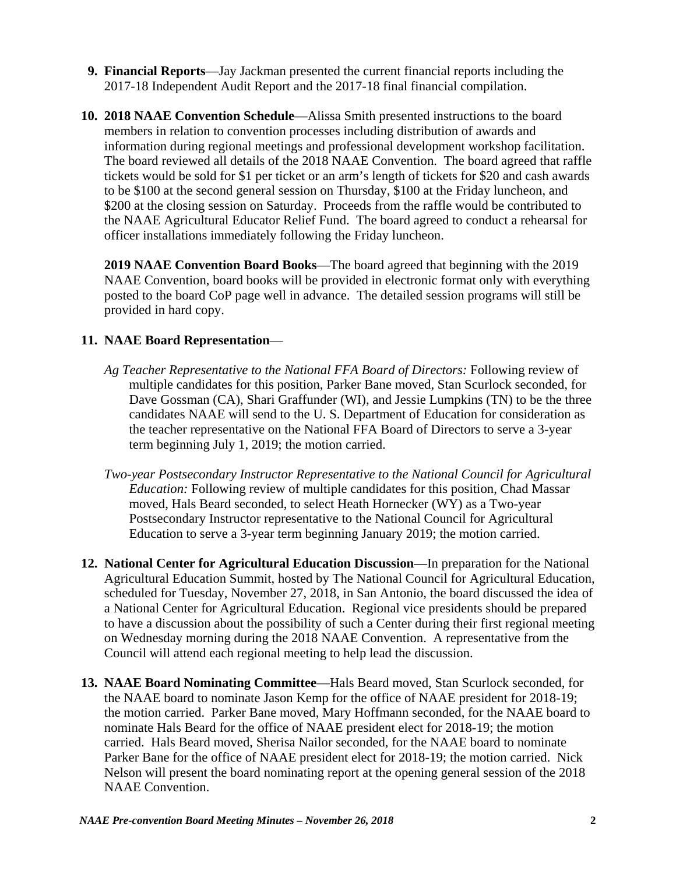- **9. Financial Reports**—Jay Jackman presented the current financial reports including the 2017-18 Independent Audit Report and the 2017-18 final financial compilation.
- **10. 2018 NAAE Convention Schedule**—Alissa Smith presented instructions to the board members in relation to convention processes including distribution of awards and information during regional meetings and professional development workshop facilitation. The board reviewed all details of the 2018 NAAE Convention. The board agreed that raffle tickets would be sold for \$1 per ticket or an arm's length of tickets for \$20 and cash awards to be \$100 at the second general session on Thursday, \$100 at the Friday luncheon, and \$200 at the closing session on Saturday. Proceeds from the raffle would be contributed to the NAAE Agricultural Educator Relief Fund. The board agreed to conduct a rehearsal for officer installations immediately following the Friday luncheon.

**2019 NAAE Convention Board Books**—The board agreed that beginning with the 2019 NAAE Convention, board books will be provided in electronic format only with everything posted to the board CoP page well in advance. The detailed session programs will still be provided in hard copy.

## **11. NAAE Board Representation**—

- *Ag Teacher Representative to the National FFA Board of Directors:* Following review of multiple candidates for this position, Parker Bane moved, Stan Scurlock seconded, for Dave Gossman (CA), Shari Graffunder (WI), and Jessie Lumpkins (TN) to be the three candidates NAAE will send to the U. S. Department of Education for consideration as the teacher representative on the National FFA Board of Directors to serve a 3-year term beginning July 1, 2019; the motion carried.
- *Two-year Postsecondary Instructor Representative to the National Council for Agricultural Education:* Following review of multiple candidates for this position, Chad Massar moved, Hals Beard seconded, to select Heath Hornecker (WY) as a Two-year Postsecondary Instructor representative to the National Council for Agricultural Education to serve a 3-year term beginning January 2019; the motion carried.
- **12. National Center for Agricultural Education Discussion**—In preparation for the National Agricultural Education Summit, hosted by The National Council for Agricultural Education, scheduled for Tuesday, November 27, 2018, in San Antonio, the board discussed the idea of a National Center for Agricultural Education. Regional vice presidents should be prepared to have a discussion about the possibility of such a Center during their first regional meeting on Wednesday morning during the 2018 NAAE Convention. A representative from the Council will attend each regional meeting to help lead the discussion.
- **13. NAAE Board Nominating Committee**—Hals Beard moved, Stan Scurlock seconded, for the NAAE board to nominate Jason Kemp for the office of NAAE president for 2018-19; the motion carried. Parker Bane moved, Mary Hoffmann seconded, for the NAAE board to nominate Hals Beard for the office of NAAE president elect for 2018-19; the motion carried. Hals Beard moved, Sherisa Nailor seconded, for the NAAE board to nominate Parker Bane for the office of NAAE president elect for 2018-19; the motion carried. Nick Nelson will present the board nominating report at the opening general session of the 2018 NAAE Convention.